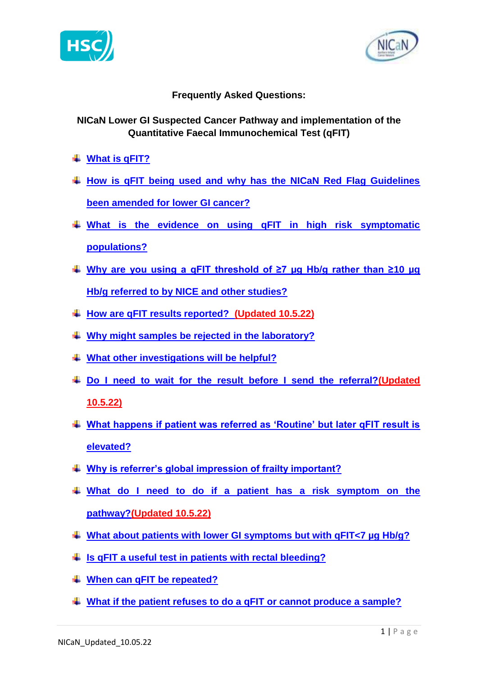



# **Frequently Asked Questions:**

# **NICaN Lower GI Suspected Cancer Pathway and implementation of the Quantitative Faecal Immunochemical Test (qFIT)**

- <span id="page-0-0"></span>**[What is qFIT?](#page-1-0)**
- **[How is qFIT being used and why has the NICaN Red Flag Guidelines](#page-1-1)  [been amended for lower GI cancer?](#page-1-1)**
- **[What is the evidence on using qFIT in high risk symptomatic](#page-2-0)  [populations?](#page-2-0)**
- **Why are [you using a qFIT threshold of ≥7 µg Hb/g rather than ≥10 µg](#page-2-1)  [Hb/g referred to by NICE and other studies?](#page-2-1)**
- **[How are qFIT results reported? \(Updated 10.5.22\)](#page-2-1)**
- **[Why might samples be rejected in the laboratory?](#page-3-0)**
- **[What other investigations will be helpful?](#page-3-1)**
- **[Do I need to wait for the result before I send the referral?\(](#page-4-0)Updated 10.5.22)**
- **[What happens if patient was referred as 'Routine' but later qFIT result is](#page-4-1)  [elevated?](#page-4-1)**
- **[Why is referrer's global impression of frailty important?](#page-4-2)**
- **[What do I need to do if a patient has a risk symptom on the](#page-5-0)  [pathway?\(](#page-5-0)Updated 10.5.22)**
- **[What about patients with lower GI symptoms but with qFIT<7 µg Hb/g?](#page-5-1)**
- **[Is qFIT a useful test in patients with rectal bleeding?](#page-6-0)**
- **[When can qFIT be repeated?](#page-7-0)**
- **[What if the patient refuses to do a qFIT or cannot produce a sample?](#page-7-1)**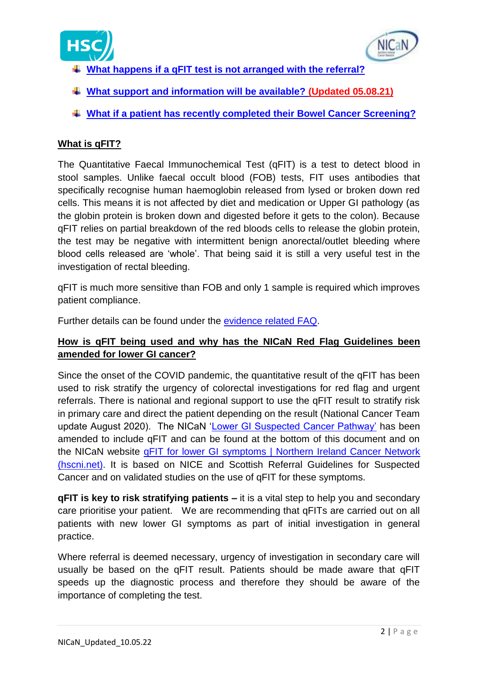



- **[What happens if a qFIT test is not arranged with the referral?](#page-7-2)**
- **[What support and information will be available?](#page-7-3) (Updated 05.08.21)**
- **[What if a patient has recently completed their Bowel Cancer Screening?](#page-8-0)**

# <span id="page-1-0"></span>**What is qFIT?**

The Quantitative Faecal Immunochemical Test (qFIT) is a test to detect blood in stool samples. Unlike faecal occult blood (FOB) tests, FIT uses antibodies that specifically recognise human haemoglobin released from lysed or broken down red cells. This means it is not affected by diet and medication or Upper GI pathology (as the globin protein is broken down and digested before it gets to the colon). Because qFIT relies on partial breakdown of the red bloods cells to release the globin protein, the test may be negative with intermittent benign anorectal/outlet bleeding where blood cells released are 'whole'. That being said it is still a very useful test in the investigation of rectal bleeding.

qFIT is much more sensitive than FOB and only 1 sample is required which improves patient compliance.

Further details can be found under the [evidence related FAQ.](#page-2-0)

# <span id="page-1-1"></span>**How is qFIT being used and why has the NICaN Red Flag Guidelines been amended for lower GI cancer?**

Since the onset of the COVID pandemic, the quantitative result of the qFIT has been used to risk stratify the urgency of colorectal investigations for red flag and urgent referrals. There is national and regional support to use the qFIT result to stratify risk in primary care and direct the patient depending on the result (National Cancer Team update August 2020). The NICaN ['Lower GI Suspected Cancer Pathway'](#page-9-0) has been amended to include qFIT and can be found at the bottom of this document and on the NICaN website [qFIT for lower GI symptoms | Northern Ireland Cancer Network](https://nican.hscni.net/info-for-professionals/primary-care/qfit/)  [\(hscni.net\).](https://nican.hscni.net/info-for-professionals/primary-care/qfit/) It is based on NICE and Scottish Referral Guidelines for Suspected Cancer and on validated studies on the use of qFIT for these symptoms.

**qFIT is key to risk stratifying patients –** it is a vital step to help you and secondary care prioritise your patient. We are recommending that qFITs are carried out on all patients with new lower GI symptoms as part of initial investigation in general practice.

Where referral is deemed necessary, urgency of investigation in secondary care will usually be based on the qFIT result. Patients should be made aware that qFIT speeds up the diagnostic process and therefore they should be aware of the importance of completing the test.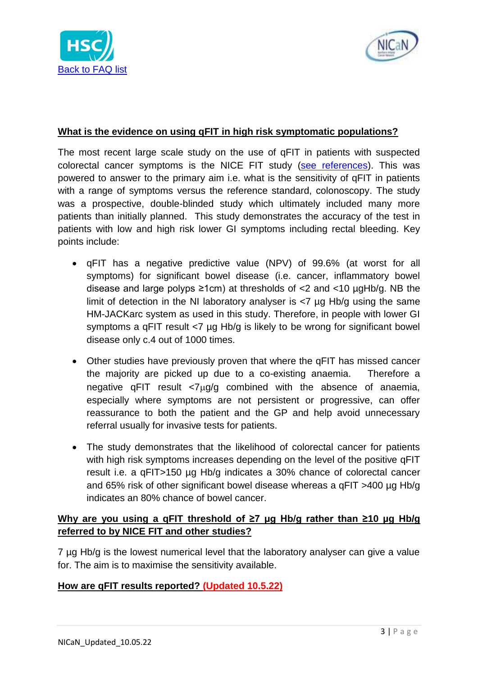



#### <span id="page-2-0"></span>**What is the evidence on using qFIT in high risk symptomatic populations?**

The most recent large scale study on the use of qFIT in patients with suspected colorectal cancer symptoms is the NICE FIT study [\(see references\)](#page-8-1). This was powered to answer to the primary aim i.e. what is the sensitivity of qFIT in patients with a range of symptoms versus the reference standard, colonoscopy. The study was a prospective, double-blinded study which ultimately included many more patients than initially planned. This study demonstrates the accuracy of the test in patients with low and high risk lower GI symptoms including rectal bleeding. Key points include:

- qFIT has a negative predictive value (NPV) of 99.6% (at worst for all symptoms) for significant bowel disease (i.e. cancer, inflammatory bowel disease and large polyps  $\geq 1$ cm) at thresholds of <2 and <10  $\mu$ gHb/g. NB the limit of detection in the NI laboratory analyser is <7 µg Hb/g using the same HM-JACKarc system as used in this study. Therefore, in people with lower GI symptoms a qFIT result <7 µg Hb/g is likely to be wrong for significant bowel disease only c.4 out of 1000 times.
- Other studies have previously proven that where the qFIT has missed cancer the majority are picked up due to a co-existing anaemia. Therefore a negative qFIT result  $\langle 7\mu g/g \rangle$  combined with the absence of anaemia, especially where symptoms are not persistent or progressive, can offer reassurance to both the patient and the GP and help avoid unnecessary referral usually for invasive tests for patients.
- The study demonstrates that the likelihood of colorectal cancer for patients with high risk symptoms increases depending on the level of the positive qFIT result i.e. a qFIT>150 µg Hb/g indicates a 30% chance of colorectal cancer and 65% risk of other significant bowel disease whereas a qFIT >400 µg Hb/g indicates an 80% chance of bowel cancer.

# <span id="page-2-1"></span>**Why are you using a qFIT threshold of ≥7 µg Hb/g rather than ≥10 µg Hb/g referred to by NICE FIT and other studies?**

7 µg Hb/g is the lowest numerical level that the laboratory analyser can give a value for. The aim is to maximise the sensitivity available.

### **How are qFIT results reported? (Updated 10.5.22)**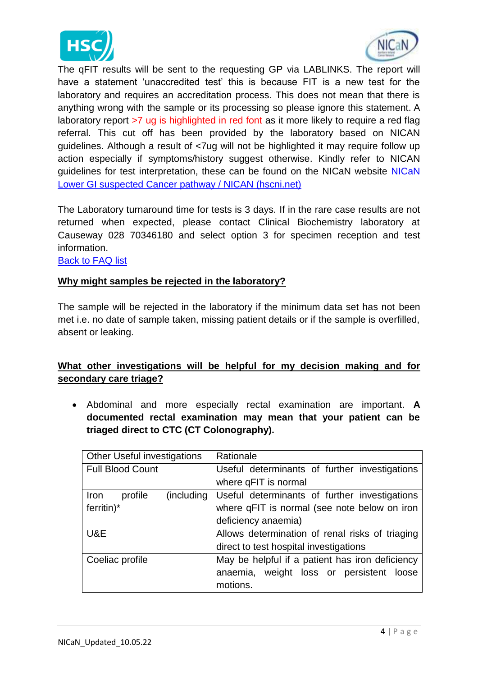



The qFIT results will be sent to the requesting GP via LABLINKS. The report will have a statement 'unaccredited test' this is because FIT is a new test for the laboratory and requires an accreditation process. This does not mean that there is anything wrong with the sample or its processing so please ignore this statement. A laboratory report >7 ug is highlighted in red font as it more likely to require a red flag referral. This cut off has been provided by the laboratory based on NICAN guidelines. Although a result of <7ug will not be highlighted it may require follow up action especially if symptoms/history suggest otherwise. Kindly refer to NICAN guidelines for test interpretation, these can be found on the NICaN website [NICaN](https://nican.hscni.net/wp-content/uploads/2021/06/NICaN-Lower-GI-Suspect-Cancer-Pathway-22June-2021-Final.pdf)  [Lower GI suspected Cancer pathway / NICAN \(hscni.net\)](https://nican.hscni.net/wp-content/uploads/2021/06/NICaN-Lower-GI-Suspect-Cancer-Pathway-22June-2021-Final.pdf)

The Laboratory turnaround time for tests is 3 days. If in the rare case results are not returned when expected, please contact Clinical Biochemistry laboratory at Causeway 028 70346180 and select option 3 for specimen reception and test information.

[Back to FAQ list](#page-0-0)

#### <span id="page-3-0"></span>**Why might samples be rejected in the laboratory?**

The sample will be rejected in the laboratory if the minimum data set has not been met i.e. no date of sample taken, missing patient details or if the sample is overfilled, absent or leaking.

# <span id="page-3-1"></span>**What other investigations will be helpful for my decision making and for secondary care triage?**

 Abdominal and more especially rectal examination are important. **A documented rectal examination may mean that your patient can be triaged direct to CTC (CT Colonography).**

| Other Useful investigations          | Rationale                                       |
|--------------------------------------|-------------------------------------------------|
| <b>Full Blood Count</b>              | Useful determinants of further investigations   |
|                                      | where qFIT is normal                            |
| (including<br>profile<br><b>Iron</b> | Useful determinants of further investigations   |
| $ferritin)$ *                        | where qFIT is normal (see note below on iron    |
|                                      | deficiency anaemia)                             |
| U&E                                  | Allows determination of renal risks of triaging |
|                                      | direct to test hospital investigations          |
| Coeliac profile                      | May be helpful if a patient has iron deficiency |
|                                      | anaemia, weight loss or persistent loose        |
|                                      | motions.                                        |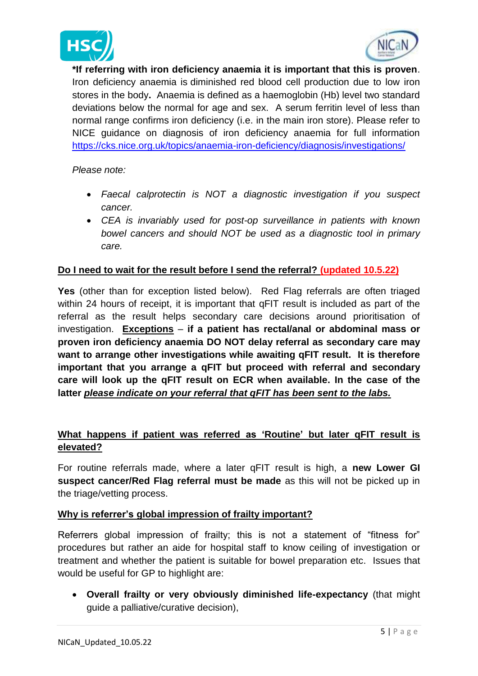



**\*If referring with iron deficiency anaemia it is important that this is proven**. Iron deficiency anaemia is diminished red blood cell production due to low iron stores in the body**.** Anaemia is defined as a haemoglobin (Hb) level two standard deviations below the normal for age and sex. A serum ferritin level of less than normal range confirms iron deficiency (i.e. in the main iron store). Please refer to NICE guidance on diagnosis of iron deficiency anaemia for full information <https://cks.nice.org.uk/topics/anaemia-iron-deficiency/diagnosis/investigations/>

#### *Please note:*

- *Faecal calprotectin is NOT a diagnostic investigation if you suspect cancer.*
- *CEA is invariably used for post-op surveillance in patients with known bowel cancers and should NOT be used as a diagnostic tool in primary care.*

### <span id="page-4-0"></span>**Do I need to wait for the result before I send the referral? (updated 10.5.22)**

**Yes** (other than for exception listed below). Red Flag referrals are often triaged within 24 hours of receipt, it is important that qFIT result is included as part of the referral as the result helps secondary care decisions around prioritisation of investigation. **Exceptions** – **if a patient has rectal/anal or abdominal mass or proven iron deficiency anaemia DO NOT delay referral as secondary care may want to arrange other investigations while awaiting qFIT result. It is therefore important that you arrange a qFIT but proceed with referral and secondary care will look up the qFIT result on ECR when available. In the case of the latter** *please indicate on your referral that qFIT has been sent to the labs.*

## <span id="page-4-1"></span>**What happens if patient was referred as 'Routine' but later qFIT result is elevated?**

For routine referrals made, where a later qFIT result is high, a **new Lower GI suspect cancer/Red Flag referral must be made** as this will not be picked up in the triage/vetting process.

### <span id="page-4-2"></span>**Why is referrer's global impression of frailty important?**

Referrers global impression of frailty; this is not a statement of "fitness for" procedures but rather an aide for hospital staff to know ceiling of investigation or treatment and whether the patient is suitable for bowel preparation etc. Issues that would be useful for GP to highlight are:

 **Overall frailty or very obviously diminished life-expectancy** (that might guide a palliative/curative decision),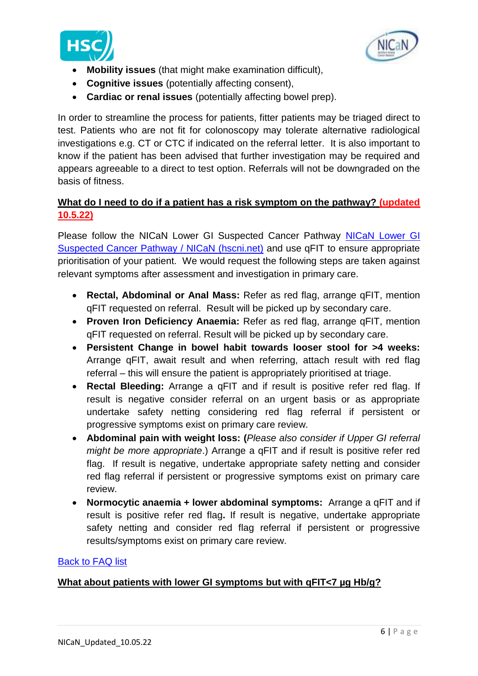



- **Mobility issues** (that might make examination difficult),
- **Cognitive issues** (potentially affecting consent),
- **Cardiac or renal issues** (potentially affecting bowel prep).

In order to streamline the process for patients, fitter patients may be triaged direct to test. Patients who are not fit for colonoscopy may tolerate alternative radiological investigations e.g. CT or CTC if indicated on the referral letter. It is also important to know if the patient has been advised that further investigation may be required and appears agreeable to a direct to test option. Referrals will not be downgraded on the basis of fitness.

# <span id="page-5-0"></span>**What do I need to do if a patient has a risk symptom on the pathway? (updated 10.5.22)**

Please follow the NICaN Lower GI Suspected Cancer Pathway [NICaN Lower GI](https://nican.hscni.net/wp-content/uploads/2021/06/NICaN-Lower-GI-Suspect-Cancer-Pathway-22June-2021-Final.pdf)  [Suspected Cancer Pathway / NICaN \(hscni.net\)](https://nican.hscni.net/wp-content/uploads/2021/06/NICaN-Lower-GI-Suspect-Cancer-Pathway-22June-2021-Final.pdf) and use qFIT to ensure appropriate prioritisation of your patient. We would request the following steps are taken against relevant symptoms after assessment and investigation in primary care.

- **Rectal, Abdominal or Anal Mass:** Refer as red flag, arrange qFIT, mention qFIT requested on referral. Result will be picked up by secondary care.
- **Proven Iron Deficiency Anaemia:** Refer as red flag, arrange qFIT, mention qFIT requested on referral. Result will be picked up by secondary care.
- **Persistent Change in bowel habit towards looser stool for >4 weeks:**  Arrange qFIT, await result and when referring, attach result with red flag referral – this will ensure the patient is appropriately prioritised at triage.
- **Rectal Bleeding:** Arrange a qFIT and if result is positive refer red flag. If result is negative consider referral on an urgent basis or as appropriate undertake safety netting considering red flag referral if persistent or progressive symptoms exist on primary care review.
- **Abdominal pain with weight loss: (***Please also consider if Upper GI referral might be more appropriate*.) Arrange a qFIT and if result is positive refer red flag.If result is negative, undertake appropriate safety netting and consider red flag referral if persistent or progressive symptoms exist on primary care review.
- **Normocytic anaemia + lower abdominal symptoms:** Arrange a qFIT and if result is positive refer red flag**.** If result is negative, undertake appropriate safety netting and consider red flag referral if persistent or progressive results/symptoms exist on primary care review.

### <span id="page-5-1"></span>[Back to FAQ list](#page-0-0)

### **What about patients with lower GI symptoms but with qFIT<7 µg Hb/g?**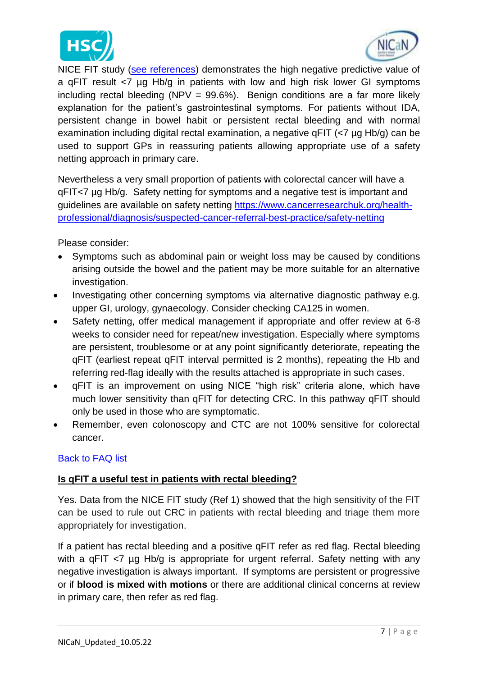



 NICE FIT study [\(see references\)](#page-8-1) demonstrates the high negative predictive value of a qFIT result <7 µg Hb/g in patients with low and high risk lower GI symptoms including rectal bleeding (NPV =  $99.6\%$ ). Benign conditions are a far more likely explanation for the patient's gastrointestinal symptoms. For patients without IDA, persistent change in bowel habit or persistent rectal bleeding and with normal examination including digital rectal examination, a negative qFIT (<7 µg Hb/g) can be used to support GPs in reassuring patients allowing appropriate use of a safety netting approach in primary care.

Nevertheless a very small proportion of patients with colorectal cancer will have a qFIT<7 µg Hb/g. Safety netting for symptoms and a negative test is important and guidelines are available on safety netting [https://www.cancerresearchuk.org/health](https://www.cancerresearchuk.org/health-professional/diagnosis/suspected-cancer-referral-best-practice/safety-netting)[professional/diagnosis/suspected-cancer-referral-best-practice/safety-netting](https://www.cancerresearchuk.org/health-professional/diagnosis/suspected-cancer-referral-best-practice/safety-netting)

Please consider:

- Symptoms such as abdominal pain or weight loss may be caused by conditions arising outside the bowel and the patient may be more suitable for an alternative investigation.
- Investigating other concerning symptoms via alternative diagnostic pathway e.g. upper GI, urology, gynaecology. Consider checking CA125 in women.
- Safety netting, offer medical management if appropriate and offer review at 6-8 weeks to consider need for repeat/new investigation. Especially where symptoms are persistent, troublesome or at any point significantly deteriorate, repeating the qFIT (earliest repeat qFIT interval permitted is 2 months), repeating the Hb and referring red-flag ideally with the results attached is appropriate in such cases.
- qFIT is an improvement on using NICE "high risk" criteria alone, which have much lower sensitivity than qFIT for detecting CRC. In this pathway qFIT should only be used in those who are symptomatic.
- Remember, even colonoscopy and CTC are not 100% sensitive for colorectal cancer.

### [Back to FAQ list](#page-0-0)

### <span id="page-6-0"></span>**Is qFIT a useful test in patients with rectal bleeding?**

Yes. Data from the NICE FIT study [\(Ref 1\)](#page-8-2) showed that the high sensitivity of the FIT can be used to rule out CRC in patients with rectal bleeding and triage them more appropriately for investigation.

If a patient has rectal bleeding and a positive qFIT refer as red flag. Rectal bleeding with a qFIT <7 µg Hb/g is appropriate for urgent referral. Safety netting with any negative investigation is always important. If symptoms are persistent or progressive or if **blood is mixed with motions** or there are additional clinical concerns at review in primary care, then refer as red flag.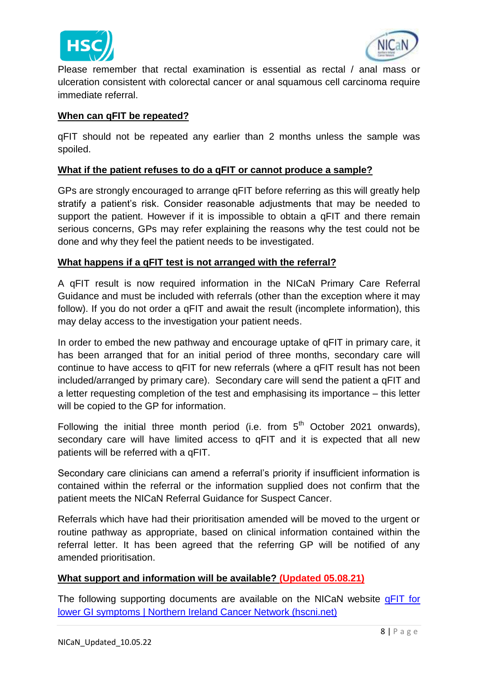



Please remember that rectal examination is essential as rectal / anal mass or ulceration consistent with colorectal cancer or anal squamous cell carcinoma require immediate referral.

#### <span id="page-7-0"></span>**When can qFIT be repeated?**

qFIT should not be repeated any earlier than 2 months unless the sample was spoiled.

#### <span id="page-7-1"></span>**What if the patient refuses to do a qFIT or cannot produce a sample?**

GPs are strongly encouraged to arrange qFIT before referring as this will greatly help stratify a patient's risk. Consider reasonable adjustments that may be needed to support the patient. However if it is impossible to obtain a qFIT and there remain serious concerns, GPs may refer explaining the reasons why the test could not be done and why they feel the patient needs to be investigated.

#### <span id="page-7-2"></span>**What happens if a qFIT test is not arranged with the referral?**

A qFIT result is now required information in the NICaN Primary Care Referral Guidance and must be included with referrals (other than the exception where it may follow). If you do not order a qFIT and await the result (incomplete information), this may delay access to the investigation your patient needs.

In order to embed the new pathway and encourage uptake of qFIT in primary care, it has been arranged that for an initial period of three months, secondary care will continue to have access to qFIT for new referrals (where a qFIT result has not been included/arranged by primary care). Secondary care will send the patient a qFIT and a letter requesting completion of the test and emphasising its importance – this letter will be copied to the GP for information.

Following the initial three month period (i.e. from  $5<sup>th</sup>$  October 2021 onwards), secondary care will have limited access to qFIT and it is expected that all new patients will be referred with a qFIT.

Secondary care clinicians can amend a referral's priority if insufficient information is contained within the referral or the information supplied does not confirm that the patient meets the NICaN Referral Guidance for Suspect Cancer.

Referrals which have had their prioritisation amended will be moved to the urgent or routine pathway as appropriate, based on clinical information contained within the referral letter. It has been agreed that the referring GP will be notified of any amended prioritisation.

### <span id="page-7-3"></span>**What support and information will be available? (Updated 05.08.21)**

The following supporting documents are available on the NICaN website [qFIT for](https://nican.hscni.net/info-for-professionals/primary-care/qfit/)  [lower GI symptoms | Northern Ireland Cancer Network \(hscni.net\)](https://nican.hscni.net/info-for-professionals/primary-care/qfit/)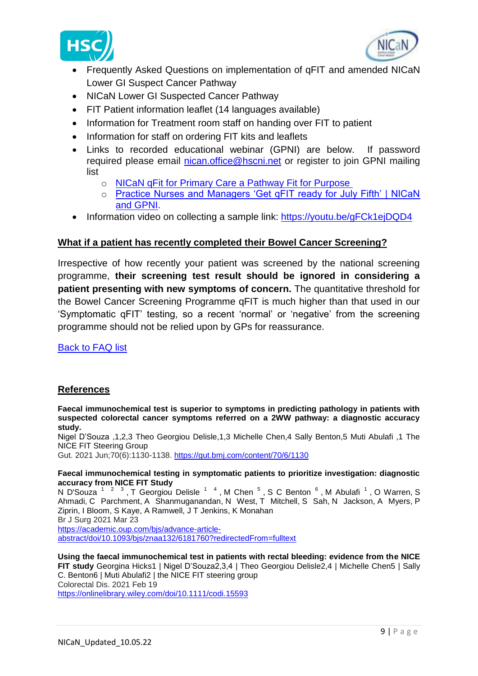



- Frequently Asked Questions on implementation of qFIT and amended NICaN Lower GI Suspect Cancer Pathway
- NICaN Lower GI Suspected Cancer Pathway
- FIT Patient information leaflet (14 languages available)
- Information for Treatment room staff on handing over FIT to patient
- Information for staff on ordering FIT kits and leaflets
- Links to recorded educational webinar (GPNI) are below. If password required please email [nican.office@hscni.net](mailto:nican.office@hscni.net) or register to join GPNI mailing list
	- o [NICaN qFit for Primary Care a Pathway Fit for Purpose](https://www.gpni.co.uk/webinars/gpni-nican-qfit-for-primary-care-a-pathway-fit-for-purpose/)
	- o [Practice Nurses and Managers 'Get qFIT ready for July Fifth' | NICaN](https://www.gpni.co.uk/webinars/gpni-nican-practice-nurses-and-managers-get-qfit-ready-for-july-fifth/)  [and GPNI.](https://www.gpni.co.uk/webinars/gpni-nican-practice-nurses-and-managers-get-qfit-ready-for-july-fifth/)
- Information video on collecting a sample link: <https://youtu.be/gFCk1ejDQD4>

#### <span id="page-8-0"></span>**What if a patient has recently completed their Bowel Cancer Screening?**

Irrespective of how recently your patient was screened by the national screening programme, **their screening test result should be ignored in considering a patient presenting with new symptoms of concern.** The quantitative threshold for the Bowel Cancer Screening Programme qFIT is much higher than that used in our 'Symptomatic qFIT' testing, so a recent 'normal' or 'negative' from the screening programme should not be relied upon by GPs for reassurance.

<span id="page-8-1"></span>[Back to FAQ list](#page-0-0)

#### **References**

<span id="page-8-2"></span>**Faecal immunochemical test is superior to symptoms in predicting pathology in patients with suspected colorectal cancer symptoms referred on a 2WW pathway: a diagnostic accuracy study.**

Nigel D'Souza ,1,2,3 Theo Georgiou Delisle,1,3 Michelle Chen,4 Sally Benton,5 Muti Abulafi ,1 The NICE FIT Steering Group

Gut. 2021 Jun;70(6):1130-1138. <https://gut.bmj.com/content/70/6/1130>

**Faecal immunochemical testing in symptomatic patients to prioritize investigation: diagnostic accuracy from NICE FIT Study**

[N D'Souza](https://pubmed.ncbi.nlm.nih.gov/?term=D%27Souza+N&cauthor_id=33755051)<sup>123</sup>, [T Georgiou Delisle](https://pubmed.ncbi.nlm.nih.gov/?term=Delisle+TG&cauthor_id=33755051)<sup>1[4](https://pubmed.ncbi.nlm.nih.gov/33755051/#affiliation-4)</sup>, [M Chen](https://pubmed.ncbi.nlm.nih.gov/?term=Chen+M&cauthor_id=33755051)<sup>5</sup>, [S C Benton](https://pubmed.ncbi.nlm.nih.gov/?term=Benton+SC&cauthor_id=33755051)<sup>6</sup>, [M Abulafi](https://pubmed.ncbi.nlm.nih.gov/?term=Abulafi+M&cauthor_id=33755051)<sup>1</sup>, [O Warren,](https://pubmed.ncbi.nlm.nih.gov/?term=Warren+O&cauthor_id=33755051) S [Ahmadi,](https://pubmed.ncbi.nlm.nih.gov/?term=Ahmadi+S&cauthor_id=33755051) [C Parchment,](https://pubmed.ncbi.nlm.nih.gov/?term=Parchment+C&cauthor_id=33755051) [A Shanmuganandan,](https://pubmed.ncbi.nlm.nih.gov/?term=Shanmuganandan+A&cauthor_id=33755051) [N West,](https://pubmed.ncbi.nlm.nih.gov/?term=West+N&cauthor_id=33755051) [T Mitchell,](https://pubmed.ncbi.nlm.nih.gov/?term=Mitchell+T&cauthor_id=33755051) [S Sah,](https://pubmed.ncbi.nlm.nih.gov/?term=Sah+S&cauthor_id=33755051) [N Jackson,](https://pubmed.ncbi.nlm.nih.gov/?term=Jackson+N&cauthor_id=33755051) [A Myers,](https://pubmed.ncbi.nlm.nih.gov/?term=Myers+A&cauthor_id=33755051) [P](https://pubmed.ncbi.nlm.nih.gov/?term=Ziprin+P&cauthor_id=33755051)  [Ziprin,](https://pubmed.ncbi.nlm.nih.gov/?term=Ziprin+P&cauthor_id=33755051) [I Bloom,](https://pubmed.ncbi.nlm.nih.gov/?term=Bloom+I&cauthor_id=33755051) [S Kaye,](https://pubmed.ncbi.nlm.nih.gov/?term=Kaye+S&cauthor_id=33755051) [A Ramwell,](https://pubmed.ncbi.nlm.nih.gov/?term=Ramwell+A&cauthor_id=33755051) [J T Jenkins,](https://pubmed.ncbi.nlm.nih.gov/?term=Jenkins+JT&cauthor_id=33755051) [K Monahan](https://pubmed.ncbi.nlm.nih.gov/?term=Monahan+K&cauthor_id=33755051) Br J Surg 2021 Mar 23

[https://academic.oup.com/bjs/advance-article](https://academic.oup.com/bjs/advance-article-abstract/doi/10.1093/bjs/znaa132/6181760?redirectedFrom=fulltext)[abstract/doi/10.1093/bjs/znaa132/6181760?redirectedFrom=fulltext](https://academic.oup.com/bjs/advance-article-abstract/doi/10.1093/bjs/znaa132/6181760?redirectedFrom=fulltext)

**Using the faecal immunochemical test in patients with rectal bleeding: evidence from the NICE FIT study** Georgina Hicks1 | Nigel D'Souza2,3,4 | Theo Georgiou Delisle2,4 | Michelle Chen5 | Sally C. Benton6 | Muti Abulafi2 | the NICE FIT steering group Colorectal Dis. 2021 Feb 19 <https://onlinelibrary.wiley.com/doi/10.1111/codi.15593>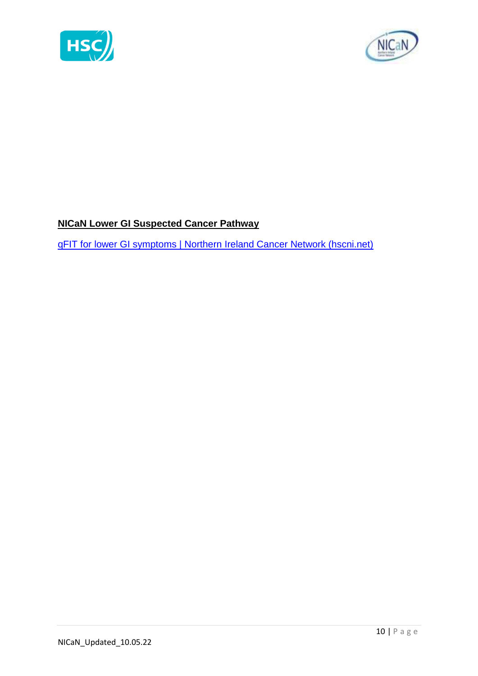



# <span id="page-9-0"></span>**NICaN Lower GI Suspected Cancer Pathway**

[qFIT for lower GI symptoms | Northern Ireland Cancer Network \(hscni.net\)](https://nican.hscni.net/info-for-professionals/primary-care/qfit/)